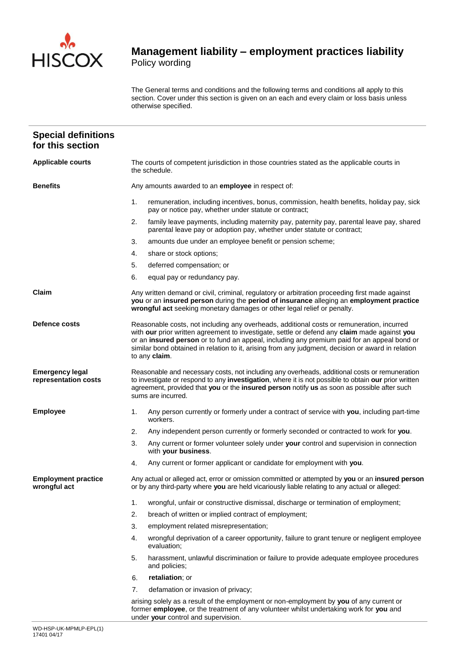

## **Management liability – employment practices liability**  Policy wording

The General terms and conditions and the following terms and conditions all apply to this section. Cover under this section is given on an each and every claim or loss basis unless otherwise specified.

| <b>Special definitions</b><br>for this section |                                                                                                                                                                                                                                                                                                                                                                                                                |  |  |  |
|------------------------------------------------|----------------------------------------------------------------------------------------------------------------------------------------------------------------------------------------------------------------------------------------------------------------------------------------------------------------------------------------------------------------------------------------------------------------|--|--|--|
| <b>Applicable courts</b>                       | The courts of competent jurisdiction in those countries stated as the applicable courts in<br>the schedule.                                                                                                                                                                                                                                                                                                    |  |  |  |
| <b>Benefits</b>                                | Any amounts awarded to an employee in respect of:                                                                                                                                                                                                                                                                                                                                                              |  |  |  |
|                                                | 1.<br>remuneration, including incentives, bonus, commission, health benefits, holiday pay, sick<br>pay or notice pay, whether under statute or contract;                                                                                                                                                                                                                                                       |  |  |  |
|                                                | 2.<br>family leave payments, including maternity pay, paternity pay, parental leave pay, shared<br>parental leave pay or adoption pay, whether under statute or contract;                                                                                                                                                                                                                                      |  |  |  |
|                                                | amounts due under an employee benefit or pension scheme;<br>3.                                                                                                                                                                                                                                                                                                                                                 |  |  |  |
|                                                | 4.<br>share or stock options;                                                                                                                                                                                                                                                                                                                                                                                  |  |  |  |
|                                                | 5.<br>deferred compensation; or                                                                                                                                                                                                                                                                                                                                                                                |  |  |  |
|                                                | 6.<br>equal pay or redundancy pay.                                                                                                                                                                                                                                                                                                                                                                             |  |  |  |
| Claim                                          | Any written demand or civil, criminal, regulatory or arbitration proceeding first made against<br>you or an insured person during the period of insurance alleging an employment practice<br>wrongful act seeking monetary damages or other legal relief or penalty.                                                                                                                                           |  |  |  |
| Defence costs                                  | Reasonable costs, not including any overheads, additional costs or remuneration, incurred<br>with our prior written agreement to investigate, settle or defend any claim made against you<br>or an insured person or to fund an appeal, including any premium paid for an appeal bond or<br>similar bond obtained in relation to it, arising from any judgment, decision or award in relation<br>to any claim. |  |  |  |
| <b>Emergency legal</b><br>representation costs | Reasonable and necessary costs, not including any overheads, additional costs or remuneration<br>to investigate or respond to any investigation, where it is not possible to obtain our prior written<br>agreement, provided that you or the insured person notify us as soon as possible after such<br>sums are incurred.                                                                                     |  |  |  |
| <b>Employee</b>                                | Any person currently or formerly under a contract of service with you, including part-time<br>1.<br>workers.                                                                                                                                                                                                                                                                                                   |  |  |  |
|                                                | 2.<br>Any independent person currently or formerly seconded or contracted to work for you.                                                                                                                                                                                                                                                                                                                     |  |  |  |
|                                                | 3.<br>Any current or former volunteer solely under your control and supervision in connection<br>with your business.                                                                                                                                                                                                                                                                                           |  |  |  |
|                                                | Any current or former applicant or candidate for employment with you.<br>4.                                                                                                                                                                                                                                                                                                                                    |  |  |  |
| <b>Employment practice</b><br>wrongful act     | Any actual or alleged act, error or omission committed or attempted by you or an insured person<br>or by any third-party where you are held vicariously liable relating to any actual or alleged:                                                                                                                                                                                                              |  |  |  |
|                                                | 1.<br>wrongful, unfair or constructive dismissal, discharge or termination of employment;                                                                                                                                                                                                                                                                                                                      |  |  |  |
|                                                | 2.<br>breach of written or implied contract of employment;                                                                                                                                                                                                                                                                                                                                                     |  |  |  |
|                                                | 3.<br>employment related misrepresentation;                                                                                                                                                                                                                                                                                                                                                                    |  |  |  |
|                                                | wrongful deprivation of a career opportunity, failure to grant tenure or negligent employee<br>4.<br>evaluation;                                                                                                                                                                                                                                                                                               |  |  |  |
|                                                | 5.<br>harassment, unlawful discrimination or failure to provide adequate employee procedures<br>and policies;                                                                                                                                                                                                                                                                                                  |  |  |  |
|                                                | retaliation; or<br>6.                                                                                                                                                                                                                                                                                                                                                                                          |  |  |  |
|                                                | 7.<br>defamation or invasion of privacy;                                                                                                                                                                                                                                                                                                                                                                       |  |  |  |
|                                                | arising solely as a result of the employment or non-employment by you of any current or<br>former employee, or the treatment of any volunteer whilst undertaking work for you and                                                                                                                                                                                                                              |  |  |  |

under **your** control and supervision.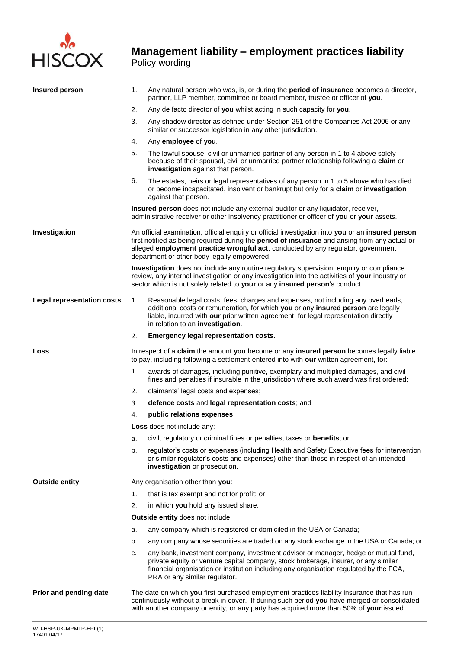

## **Management liability – employment practices liability**  Policy wording

| <b>Insured person</b>             | 1.                                                                                                                                                                              | Any natural person who was, is, or during the period of insurance becomes a director,<br>partner, LLP member, committee or board member, trustee or officer of you.                                                                                                                                                                    |  |  |  |  |
|-----------------------------------|---------------------------------------------------------------------------------------------------------------------------------------------------------------------------------|----------------------------------------------------------------------------------------------------------------------------------------------------------------------------------------------------------------------------------------------------------------------------------------------------------------------------------------|--|--|--|--|
|                                   | 2.                                                                                                                                                                              | Any de facto director of you whilst acting in such capacity for you.                                                                                                                                                                                                                                                                   |  |  |  |  |
|                                   | 3.                                                                                                                                                                              | Any shadow director as defined under Section 251 of the Companies Act 2006 or any<br>similar or successor legislation in any other jurisdiction.                                                                                                                                                                                       |  |  |  |  |
|                                   | 4.                                                                                                                                                                              | Any employee of you.                                                                                                                                                                                                                                                                                                                   |  |  |  |  |
|                                   | 5.                                                                                                                                                                              | The lawful spouse, civil or unmarried partner of any person in 1 to 4 above solely<br>because of their spousal, civil or unmarried partner relationship following a claim or<br>investigation against that person.                                                                                                                     |  |  |  |  |
|                                   | 6.                                                                                                                                                                              | The estates, heirs or legal representatives of any person in 1 to 5 above who has died<br>or become incapacitated, insolvent or bankrupt but only for a claim or investigation<br>against that person.                                                                                                                                 |  |  |  |  |
|                                   | Insured person does not include any external auditor or any liquidator, receiver,<br>administrative receiver or other insolvency practitioner or officer of you or your assets. |                                                                                                                                                                                                                                                                                                                                        |  |  |  |  |
| Investigation                     |                                                                                                                                                                                 | An official examination, official enquiry or official investigation into you or an insured person<br>first notified as being required during the period of insurance and arising from any actual or<br>alleged employment practice wrongful act, conducted by any regulator, government<br>department or other body legally empowered. |  |  |  |  |
|                                   |                                                                                                                                                                                 | Investigation does not include any routine regulatory supervision, enquiry or compliance<br>review, any internal investigation or any investigation into the activities of your industry or<br>sector which is not solely related to your or any insured person's conduct.                                                             |  |  |  |  |
| <b>Legal representation costs</b> | 1.                                                                                                                                                                              | Reasonable legal costs, fees, charges and expenses, not including any overheads,<br>additional costs or remuneration, for which you or any insured person are legally<br>liable, incurred with our prior written agreement for legal representation directly<br>in relation to an investigation.                                       |  |  |  |  |
|                                   | 2.                                                                                                                                                                              | <b>Emergency legal representation costs.</b>                                                                                                                                                                                                                                                                                           |  |  |  |  |
| Loss                              |                                                                                                                                                                                 | In respect of a claim the amount you become or any insured person becomes legally liable<br>to pay, including following a settlement entered into with our written agreement, for:                                                                                                                                                     |  |  |  |  |
|                                   | 1.                                                                                                                                                                              | awards of damages, including punitive, exemplary and multiplied damages, and civil<br>fines and penalties if insurable in the jurisdiction where such award was first ordered;                                                                                                                                                         |  |  |  |  |
|                                   | 2.                                                                                                                                                                              | claimants' legal costs and expenses;                                                                                                                                                                                                                                                                                                   |  |  |  |  |
|                                   | 3.                                                                                                                                                                              | defence costs and legal representation costs; and                                                                                                                                                                                                                                                                                      |  |  |  |  |
|                                   | 4.                                                                                                                                                                              | public relations expenses.                                                                                                                                                                                                                                                                                                             |  |  |  |  |
|                                   |                                                                                                                                                                                 | Loss does not include any:                                                                                                                                                                                                                                                                                                             |  |  |  |  |
|                                   | a.                                                                                                                                                                              | civil, regulatory or criminal fines or penalties, taxes or <b>benefits</b> ; or                                                                                                                                                                                                                                                        |  |  |  |  |
|                                   | b.                                                                                                                                                                              | regulator's costs or expenses (including Health and Safety Executive fees for intervention<br>or similar regulator's costs and expenses) other than those in respect of an intended<br>investigation or prosecution.                                                                                                                   |  |  |  |  |
| <b>Outside entity</b>             |                                                                                                                                                                                 | Any organisation other than you:                                                                                                                                                                                                                                                                                                       |  |  |  |  |
|                                   | 1.                                                                                                                                                                              | that is tax exempt and not for profit; or                                                                                                                                                                                                                                                                                              |  |  |  |  |
|                                   | 2.                                                                                                                                                                              | in which you hold any issued share.                                                                                                                                                                                                                                                                                                    |  |  |  |  |
|                                   |                                                                                                                                                                                 | <b>Outside entity does not include:</b>                                                                                                                                                                                                                                                                                                |  |  |  |  |
|                                   | а.                                                                                                                                                                              | any company which is registered or domiciled in the USA or Canada;                                                                                                                                                                                                                                                                     |  |  |  |  |
|                                   | b.                                                                                                                                                                              | any company whose securities are traded on any stock exchange in the USA or Canada; or                                                                                                                                                                                                                                                 |  |  |  |  |
|                                   | c.                                                                                                                                                                              | any bank, investment company, investment advisor or manager, hedge or mutual fund,<br>private equity or venture capital company, stock brokerage, insurer, or any similar<br>financial organisation or institution including any organisation regulated by the FCA,<br>PRA or any similar regulator.                                   |  |  |  |  |
| Prior and pending date            |                                                                                                                                                                                 | The date on which you first purchased employment practices liability insurance that has run<br>continuously without a break in cover. If during such period you have merged or consolidated<br>with another company or entity, or any party has acquired more than 50% of your issued                                                  |  |  |  |  |
|                                   |                                                                                                                                                                                 |                                                                                                                                                                                                                                                                                                                                        |  |  |  |  |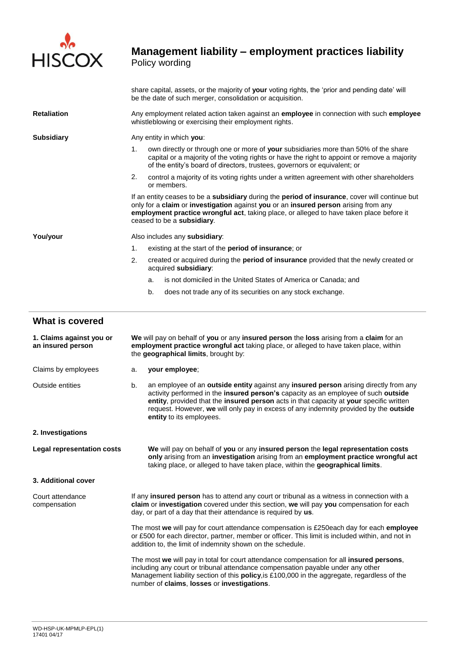

# **Management liability – employment practices liability**

Policy wording

|                                               | share capital, assets, or the majority of your voting rights, the 'prior and pending date' will<br>be the date of such merger, consolidation or acquisition.                                                                                                                                                    |  |
|-----------------------------------------------|-----------------------------------------------------------------------------------------------------------------------------------------------------------------------------------------------------------------------------------------------------------------------------------------------------------------|--|
| <b>Retaliation</b>                            | Any employment related action taken against an <b>employee</b> in connection with such <b>employee</b><br>whistleblowing or exercising their employment rights.                                                                                                                                                 |  |
| <b>Subsidiary</b>                             | Any entity in which you:                                                                                                                                                                                                                                                                                        |  |
|                                               | 1 <sub>1</sub><br>own directly or through one or more of your subsidiaries more than 50% of the share<br>capital or a majority of the voting rights or have the right to appoint or remove a majority<br>of the entity's board of directors, trustees, governors or equivalent; or                              |  |
|                                               | 2.<br>control a majority of its voting rights under a written agreement with other shareholders<br>or members.                                                                                                                                                                                                  |  |
|                                               | If an entity ceases to be a subsidiary during the period of insurance, cover will continue but<br>only for a claim or investigation against you or an insured person arising from any<br>employment practice wrongful act, taking place, or alleged to have taken place before it<br>ceased to be a subsidiary. |  |
| You/your                                      | Also includes any subsidiary:                                                                                                                                                                                                                                                                                   |  |
|                                               | 1.<br>existing at the start of the <b>period of insurance</b> ; or                                                                                                                                                                                                                                              |  |
|                                               | 2.<br>created or acquired during the <b>period of insurance</b> provided that the newly created or<br>acquired subsidiary:                                                                                                                                                                                      |  |
|                                               | is not domiciled in the United States of America or Canada: and<br>a.                                                                                                                                                                                                                                           |  |
|                                               | b.<br>does not trade any of its securities on any stock exchange.                                                                                                                                                                                                                                               |  |
| <b>What is covered</b>                        |                                                                                                                                                                                                                                                                                                                 |  |
| 1. Claims against you or<br>an insured person | We will pay on behalf of you or any insured person the loss arising from a claim for an<br>employment practice wrongful act taking place, or alleged to have taken place, within<br>the geographical limits, brought by:                                                                                        |  |
| Claims by employees                           | your employee;<br>a.                                                                                                                                                                                                                                                                                            |  |
|                                               |                                                                                                                                                                                                                                                                                                                 |  |

- Outside entities b. an employee of an **outside entity** against any **insured person** arising directly from any activity performed in the **insured person's** capacity as an employee of such **outside entity**, provided that the **insured person** acts in that capacity at **your** specific written request. However, **we** will only pay in excess of any indemnity provided by the **outside entity** to its employees.
- **2. Investigations**

**Legal representation costs We** will pay on behalf of **you** or any **insured person** the **legal representation costs only** arising from an **investigation** arising from an **employment practice wrongful act** taking place, or alleged to have taken place, within the **geographical limits**.

#### **3. Additional cover**

| Court attendance<br>compensation | If any <b>insured person</b> has to attend any court or tribunal as a witness in connection with a<br>claim or investigation covered under this section, we will pay you compensation for each<br>day, or part of a day that their attendance is required by us. |
|----------------------------------|------------------------------------------------------------------------------------------------------------------------------------------------------------------------------------------------------------------------------------------------------------------|
|                                  | The most we will pay for court attendance compensation is £250each day for each employe                                                                                                                                                                          |

The most **we** will pay for court attendance compensation is £250each day for each **employee** or £500 for each director, partner, member or officer. This limit is included within, and not in addition to, the limit of indemnity shown on the schedule.

The most **we** will pay in total for court attendance compensation for all **insured persons**, including any court or tribunal attendance compensation payable under any other Management liability section of this **policy**,is £100,000 in the aggregate, regardless of the number of **claims**, **losses** or **investigations**.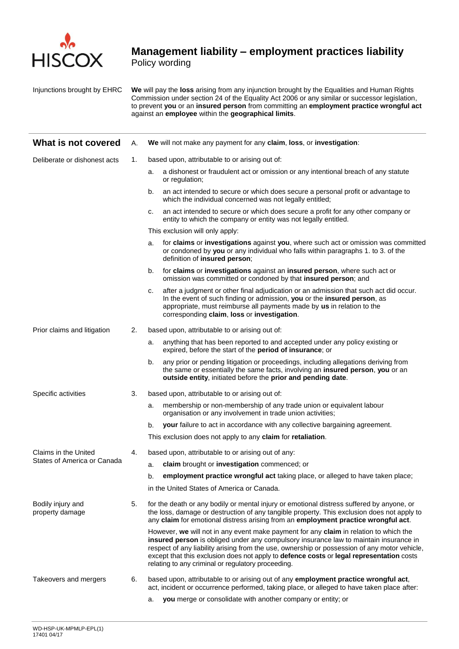

## **Management liability – employment practices liability**

Policy wording

Injunctions brought by EHRC **We** will pay the **loss** arising from any injunction brought by the Equalities and Human Rights Commission under section 24 of the Equality Act 2006 or any similar or successor legislation, to prevent **you** or an **insured person** from committing an **employment practice wrongful act**  against an **employee** within the **geographical limits**.

| What is not covered                  | А. |                                                | We will not make any payment for any claim, loss, or investigation:                                                                                                                                                                                                                                                                                                                                                              |  |
|--------------------------------------|----|------------------------------------------------|----------------------------------------------------------------------------------------------------------------------------------------------------------------------------------------------------------------------------------------------------------------------------------------------------------------------------------------------------------------------------------------------------------------------------------|--|
| Deliberate or dishonest acts         | 1. | based upon, attributable to or arising out of: |                                                                                                                                                                                                                                                                                                                                                                                                                                  |  |
|                                      |    | a.                                             | a dishonest or fraudulent act or omission or any intentional breach of any statute<br>or regulation;                                                                                                                                                                                                                                                                                                                             |  |
|                                      |    | b.                                             | an act intended to secure or which does secure a personal profit or advantage to<br>which the individual concerned was not legally entitled;                                                                                                                                                                                                                                                                                     |  |
|                                      |    | с.                                             | an act intended to secure or which does secure a profit for any other company or<br>entity to which the company or entity was not legally entitled.                                                                                                                                                                                                                                                                              |  |
|                                      |    |                                                | This exclusion will only apply:                                                                                                                                                                                                                                                                                                                                                                                                  |  |
|                                      |    | a.                                             | for claims or investigations against you, where such act or omission was committed<br>or condoned by you or any individual who falls within paragraphs 1. to 3. of the<br>definition of insured person;                                                                                                                                                                                                                          |  |
|                                      |    | b.                                             | for claims or investigations against an insured person, where such act or<br>omission was committed or condoned by that insured person; and                                                                                                                                                                                                                                                                                      |  |
|                                      |    | с.                                             | after a judgment or other final adjudication or an admission that such act did occur.<br>In the event of such finding or admission, you or the insured person, as<br>appropriate, must reimburse all payments made by us in relation to the<br>corresponding claim, loss or investigation.                                                                                                                                       |  |
| Prior claims and litigation          | 2. |                                                | based upon, attributable to or arising out of:                                                                                                                                                                                                                                                                                                                                                                                   |  |
|                                      |    | а.                                             | anything that has been reported to and accepted under any policy existing or<br>expired, before the start of the period of insurance; or                                                                                                                                                                                                                                                                                         |  |
|                                      |    | b.                                             | any prior or pending litigation or proceedings, including allegations deriving from<br>the same or essentially the same facts, involving an insured person, you or an<br>outside entity, initiated before the prior and pending date.                                                                                                                                                                                            |  |
| Specific activities                  | 3. |                                                | based upon, attributable to or arising out of:                                                                                                                                                                                                                                                                                                                                                                                   |  |
|                                      |    | a.                                             | membership or non-membership of any trade union or equivalent labour<br>organisation or any involvement in trade union activities;                                                                                                                                                                                                                                                                                               |  |
|                                      |    | b.                                             | your failure to act in accordance with any collective bargaining agreement.                                                                                                                                                                                                                                                                                                                                                      |  |
|                                      |    |                                                | This exclusion does not apply to any claim for retaliation.                                                                                                                                                                                                                                                                                                                                                                      |  |
| Claims in the United                 | 4. |                                                | based upon, attributable to or arising out of any:                                                                                                                                                                                                                                                                                                                                                                               |  |
| States of America or Canada          |    | a.                                             | claim brought or investigation commenced; or                                                                                                                                                                                                                                                                                                                                                                                     |  |
|                                      |    | b.                                             | employment practice wrongful act taking place, or alleged to have taken place;                                                                                                                                                                                                                                                                                                                                                   |  |
|                                      |    |                                                | in the United States of America or Canada.                                                                                                                                                                                                                                                                                                                                                                                       |  |
| Bodily injury and<br>property damage | 5. |                                                | for the death or any bodily or mental injury or emotional distress suffered by anyone, or<br>the loss, damage or destruction of any tangible property. This exclusion does not apply to<br>any claim for emotional distress arising from an employment practice wrongful act.                                                                                                                                                    |  |
|                                      |    |                                                | However, we will not in any event make payment for any claim in relation to which the<br>insured person is obliged under any compulsory insurance law to maintain insurance in<br>respect of any liability arising from the use, ownership or possession of any motor vehicle,<br>except that this exclusion does not apply to defence costs or legal representation costs<br>relating to any criminal or regulatory proceeding. |  |
| Takeovers and mergers                | 6. |                                                | based upon, attributable to or arising out of any employment practice wrongful act,<br>act, incident or occurrence performed, taking place, or alleged to have taken place after:                                                                                                                                                                                                                                                |  |
|                                      |    | a.                                             | you merge or consolidate with another company or entity; or                                                                                                                                                                                                                                                                                                                                                                      |  |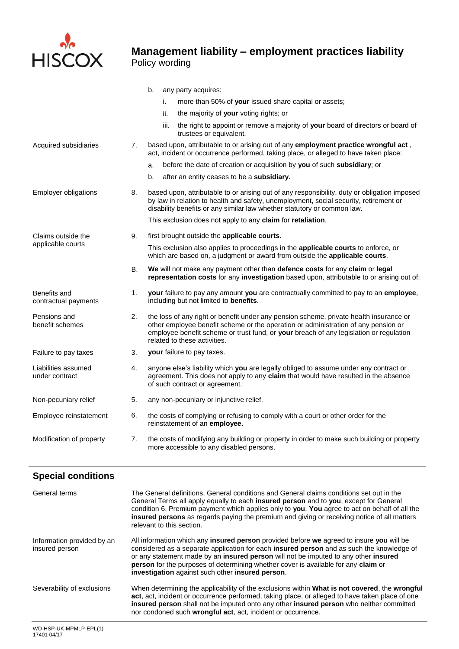

## **Management liability – employment practices liability**  Policy wording

|                                       |           | b.<br>any party acquires:                                                                                                                                                                                                                                                                              |
|---------------------------------------|-----------|--------------------------------------------------------------------------------------------------------------------------------------------------------------------------------------------------------------------------------------------------------------------------------------------------------|
|                                       |           | i.<br>more than 50% of your issued share capital or assets;                                                                                                                                                                                                                                            |
|                                       |           | ii.<br>the majority of your voting rights; or                                                                                                                                                                                                                                                          |
|                                       |           | the right to appoint or remove a majority of your board of directors or board of<br>iii.<br>trustees or equivalent.                                                                                                                                                                                    |
| Acquired subsidiaries                 | 7.        | based upon, attributable to or arising out of any employment practice wrongful act,<br>act, incident or occurrence performed, taking place, or alleged to have taken place:                                                                                                                            |
|                                       |           | before the date of creation or acquisition by you of such subsidiary; or<br>a.                                                                                                                                                                                                                         |
|                                       |           | after an entity ceases to be a subsidiary.<br>b.                                                                                                                                                                                                                                                       |
| <b>Employer obligations</b>           | 8.        | based upon, attributable to or arising out of any responsibility, duty or obligation imposed<br>by law in relation to health and safety, unemployment, social security, retirement or<br>disability benefits or any similar law whether statutory or common law.                                       |
|                                       |           | This exclusion does not apply to any claim for retaliation.                                                                                                                                                                                                                                            |
| Claims outside the                    | 9.        | first brought outside the applicable courts.                                                                                                                                                                                                                                                           |
| applicable courts                     |           | This exclusion also applies to proceedings in the applicable courts to enforce, or<br>which are based on, a judgment or award from outside the applicable courts.                                                                                                                                      |
|                                       | <b>B.</b> | We will not make any payment other than defence costs for any claim or legal<br>representation costs for any investigation based upon, attributable to or arising out of:                                                                                                                              |
| Benefits and<br>contractual payments  | 1.        | your failure to pay any amount you are contractually committed to pay to an employee,<br>including but not limited to benefits.                                                                                                                                                                        |
| Pensions and<br>benefit schemes       | 2.        | the loss of any right or benefit under any pension scheme, private health insurance or<br>other employee benefit scheme or the operation or administration of any pension or<br>employee benefit scheme or trust fund, or your breach of any legislation or regulation<br>related to these activities. |
| Failure to pay taxes                  | 3.        | <b>your</b> failure to pay taxes.                                                                                                                                                                                                                                                                      |
| Liabilities assumed<br>under contract | 4.        | anyone else's liability which you are legally obliged to assume under any contract or<br>agreement. This does not apply to any claim that would have resulted in the absence<br>of such contract or agreement.                                                                                         |
| Non-pecuniary relief                  | 5.        | any non-pecuniary or injunctive relief.                                                                                                                                                                                                                                                                |
| Employee reinstatement                | 6.        | the costs of complying or refusing to comply with a court or other order for the<br>reinstatement of an employee.                                                                                                                                                                                      |
| Modification of property              | 7.        | the costs of modifying any building or property in order to make such building or property<br>more accessible to any disabled persons.                                                                                                                                                                 |

| <b>Special conditions</b>                    |                                                                                                                                                                                                                                                                                                                                                                                                                               |
|----------------------------------------------|-------------------------------------------------------------------------------------------------------------------------------------------------------------------------------------------------------------------------------------------------------------------------------------------------------------------------------------------------------------------------------------------------------------------------------|
| General terms                                | The General definitions, General conditions and General claims conditions set out in the<br>General Terms all apply equally to each insured person and to you, except for General<br>condition 6. Premium payment which applies only to you. You agree to act on behalf of all the<br>insured persons as regards paying the premium and giving or receiving notice of all matters<br>relevant to this section.                |
| Information provided by an<br>insured person | All information which any <b>insured person</b> provided before we agreed to insure you will be<br>considered as a separate application for each insured person and as such the knowledge of<br>or any statement made by an insured person will not be imputed to any other insured<br>person for the purposes of determining whether cover is available for any claim or<br>investigation against such other insured person. |
| Severability of exclusions                   | When determining the applicability of the exclusions within <b>What is not covered</b> , the <b>wrongful</b><br>act, act, incident or occurrence performed, taking place, or alleged to have taken place of one<br>insured person shall not be imputed onto any other insured person who neither committed<br>nor condoned such wrongful act, act, incident or occurrence.                                                    |
| WD-HSP-UK-MPMLP-EPL(1)                       |                                                                                                                                                                                                                                                                                                                                                                                                                               |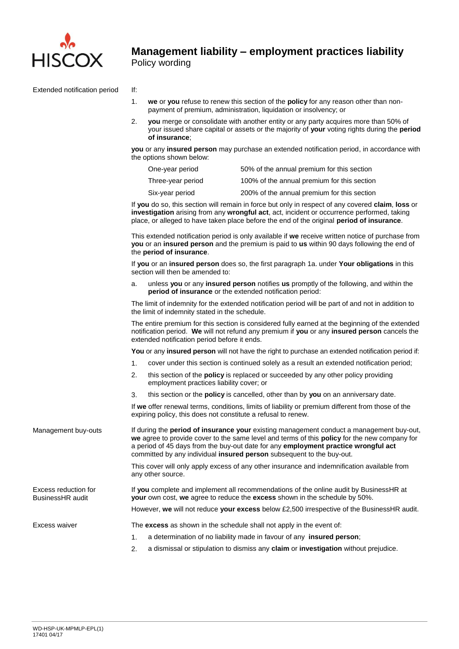

Extended notification period If:

- 1. **we** or **you** refuse to renew this section of the **policy** for any reason other than nonpayment of premium, administration, liquidation or insolvency; or
- 2. **you** merge or consolidate with another entity or any party acquires more than 50% of your issued share capital or assets or the majority of **your** voting rights during the **period of insurance**;

**you** or any **insured person** may purchase an extended notification period, in accordance with the options shown below:

| One-year period   | 50% of the annual premium for this section  |
|-------------------|---------------------------------------------|
| Three-year period | 100% of the annual premium for this section |
| Six-year period   | 200% of the annual premium for this section |

If **you** do so, this section will remain in force but only in respect of any covered **claim**, **loss** or **investigation** arising from any **wrongful act**, act, incident or occurrence performed, taking place, or alleged to have taken place before the end of the original **period of insurance**.

This extended notification period is only available if **we** receive written notice of purchase from **you** or an **insured person** and the premium is paid to **us** within 90 days following the end of the **period of insurance**.

If **you** or an **insured person** does so, the first paragraph 1a. under **Your obligations** in this section will then be amended to:

a. unless **you** or any **insured person** notifies **us** promptly of the following, and within the **period of insurance** or the extended notification period:

The limit of indemnity for the extended notification period will be part of and not in addition to the limit of indemnity stated in the schedule.

The entire premium for this section is considered fully earned at the beginning of the extended notification period. **We** will not refund any premium if **you** or any **insured person** cancels the extended notification period before it ends.

**You** or any **insured person** will not have the right to purchase an extended notification period if:

- 1. cover under this section is continued solely as a result an extended notification period;
- 2. this section of the **policy** is replaced or succeeded by any other policy providing employment practices liability cover; or
- 3. this section or the **policy** is cancelled, other than by **you** on an anniversary date.

If **we** offer renewal terms, conditions, limits of liability or premium different from those of the expiring policy, this does not constitute a refusal to renew.

Management buy-outs If during the **period of insurance your** existing management conduct a management buy-out, **we** agree to provide cover to the same level and terms of this **policy** for the new company for a period of 45 days from the buy-out date for any **employment practice wrongful act** committed by any individual **insured person** subsequent to the buy-out. This cover will only apply excess of any other insurance and indemnification available from any other source.

> If **you** complete and implement all recommendations of the online audit by BusinessHR at **your** own cost, **we** agree to reduce the **excess** shown in the schedule by 50%.

However, **we** will not reduce **your excess** below £2,500 irrespective of the BusinessHR audit.

Excess reduction for BusinessHR audit

- Excess waiver The **excess** as shown in the schedule shall not apply in the event of:
	- 1. a determination of no liability made in favour of any **insured person**;
	- 2. a dismissal or stipulation to dismiss any **claim** or **investigation** without prejudice.